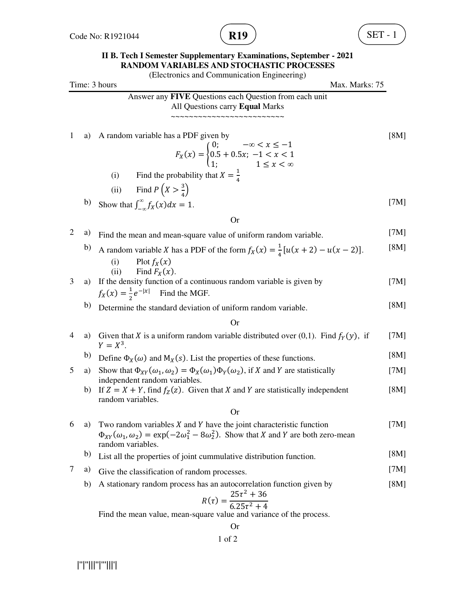

## **II B. Tech I Semester Supplementary Examinations, September - 2021 RANDOM VARIABLES AND STOCHASTIC PROCESSES**

|                |    | (Electronics and Communication Engineering)                                                                                                                                                               |      |
|----------------|----|-----------------------------------------------------------------------------------------------------------------------------------------------------------------------------------------------------------|------|
|                |    | Time: 3 hours<br>Max. Marks: 75                                                                                                                                                                           |      |
|                |    | Answer any FIVE Questions each Question from each unit<br>All Questions carry Equal Marks                                                                                                                 |      |
| $\mathbf{1}$   | a) | A random variable has a PDF given by<br>$F_X(x) = \begin{cases} 0; & -\infty < x \le -1 \\ 0.5 + 0.5x; & -1 < x < 1 \\ 1; & 1 \le x < \infty \end{cases}$                                                 | [8M] |
|                |    | (i) Find the probability that $X = \frac{1}{4}$                                                                                                                                                           |      |
|                |    | (ii) Find $P(X > \frac{3}{4})$                                                                                                                                                                            |      |
|                | b) | Show that $\int_{-\infty}^{\infty} f_X(x) dx = 1$ .                                                                                                                                                       | [7M] |
|                |    | <b>Or</b>                                                                                                                                                                                                 |      |
| $\overline{c}$ | a) | Find the mean and mean-square value of uniform random variable.                                                                                                                                           | [7M] |
|                | b) | A random variable X has a PDF of the form $f_X(x) = \frac{1}{4} [u(x + 2) - u(x - 2)].$<br>(i)<br>Plot $f_X(x)$                                                                                           | [8M] |
| 3              | a) | Find $F_X(x)$ .<br>(ii)<br>If the density function of a continuous random variable is given by<br>$f_X(x) = \frac{1}{2}e^{- x }$ Find the MGF.                                                            | [7M] |
|                | b) | Determine the standard deviation of uniform random variable.                                                                                                                                              | [8M] |
|                |    | <b>Or</b>                                                                                                                                                                                                 |      |
| 4              | a) | Given that X is a uniform random variable distributed over $(0,1)$ . Find $f_Y(y)$ , if<br>$Y = X^3$ .                                                                                                    | [7M] |
|                | b) | Define $\Phi_X(\omega)$ and $M_X(s)$ . List the properties of these functions.                                                                                                                            | [8M] |
| 5              | a) | Show that $\Phi_{XY}(\omega_1, \omega_2) = \Phi_X(\omega_1)\Phi_Y(\omega_2)$ , if X and Y are statistically<br>independent random variables.                                                              | [7M] |
|                | b) | If $Z = X + Y$ , find $f_Z(z)$ . Given that X and Y are statistically independent<br>random variables.                                                                                                    | [8M] |
|                |    | <b>Or</b>                                                                                                                                                                                                 |      |
| 6              | a) | Two random variables $X$ and $Y$ have the joint characteristic function<br>$\Phi_{XY}(\omega_1, \omega_2) = \exp(-2\omega_1^2 - 8\omega_2^2)$ . Show that X and Y are both zero-mean<br>random variables. | [7M] |
|                | b) | List all the properties of joint cummulative distribution function.                                                                                                                                       | [8M] |
| 7              | a) | Give the classification of random processes.                                                                                                                                                              | [7M] |
|                | b) | A stationary random process has an autocorrelation function given by<br>$R(\tau) = \frac{25\tau^2 + 36}{6.25\tau^2 + 4}$                                                                                  | [8M] |
|                |    | Find the mean value, mean-square value and variance of the process.                                                                                                                                       |      |

Or

1 of 2

|''|''|||''|'''|||'|